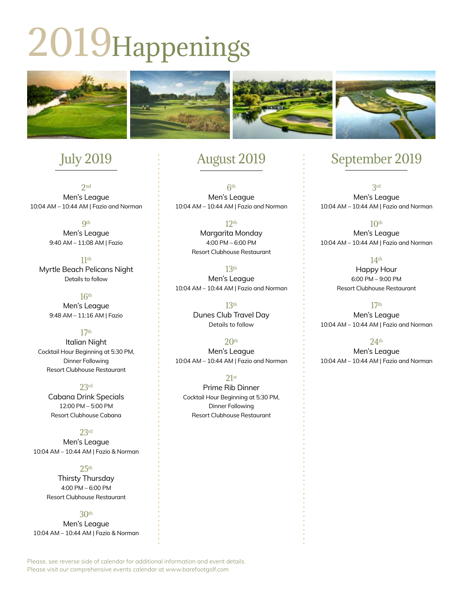# 2019Happenings



# July 2019

2nd Men's League 10:04 AM – 10:44 AM | Fazio and Norman

> **9th** Men's League 9:40 AM – 11:08 AM | Fazio

11th Myrtle Beach Pelicans Night Details to follow

> 16th Men's League 9:48 AM – 11:16 AM | Fazio

#### 17th

Italian Night Cocktail Hour Beginning at 5:30 PM, Dinner Following Resort Clubhouse Restaurant

23rd

Cabana Drink Specials 12:00 PM – 5:00 PM Resort Clubhouse Cabana

23rd Men's League 10:04 AM – 10:44 AM | Fazio & Norman

> $25<sup>th</sup>$ Thirsty Thursday 4:00 PM – 6:00 PM Resort Clubhouse Restaurant

#### 30th Men's League 10:04 AM – 10:44 AM | Fazio & Norman

## August 2019

6th Men's League 10:04 AM – 10:44 AM | Fazio and Norman

> 12th Margarita Monday 4:00 PM – 6:00 PM Resort Clubhouse Restaurant

13th Men's League 10:04 AM – 10:44 AM | Fazio and Norman

> 13th Dunes Club Travel Day Details to follow

 $20<sup>th</sup>$ Men's League 10:04 AM – 10:44 AM | Fazio and Norman

 $21st$ Prime Rib Dinner Cocktail Hour Beginning at 5:30 PM, Dinner Following Resort Clubhouse Restaurant

# September 2019

3rd Men's League 10:04 AM – 10:44 AM | Fazio and Norman

 $10<sup>th</sup>$ Men's League 10:04 AM – 10:44 AM | Fazio and Norman

> 14th Happy Hour 6:00 PM – 9:00 PM Resort Clubhouse Restaurant

17th Men's League 10:04 AM – 10:44 AM | Fazio and Norman

24th

Men's League 10:04 AM – 10:44 AM | Fazio and Norman

Please, see reverse side of calendar for additional information and event details. Please visit our comprehensive events calendar at www.barefootgolf.com